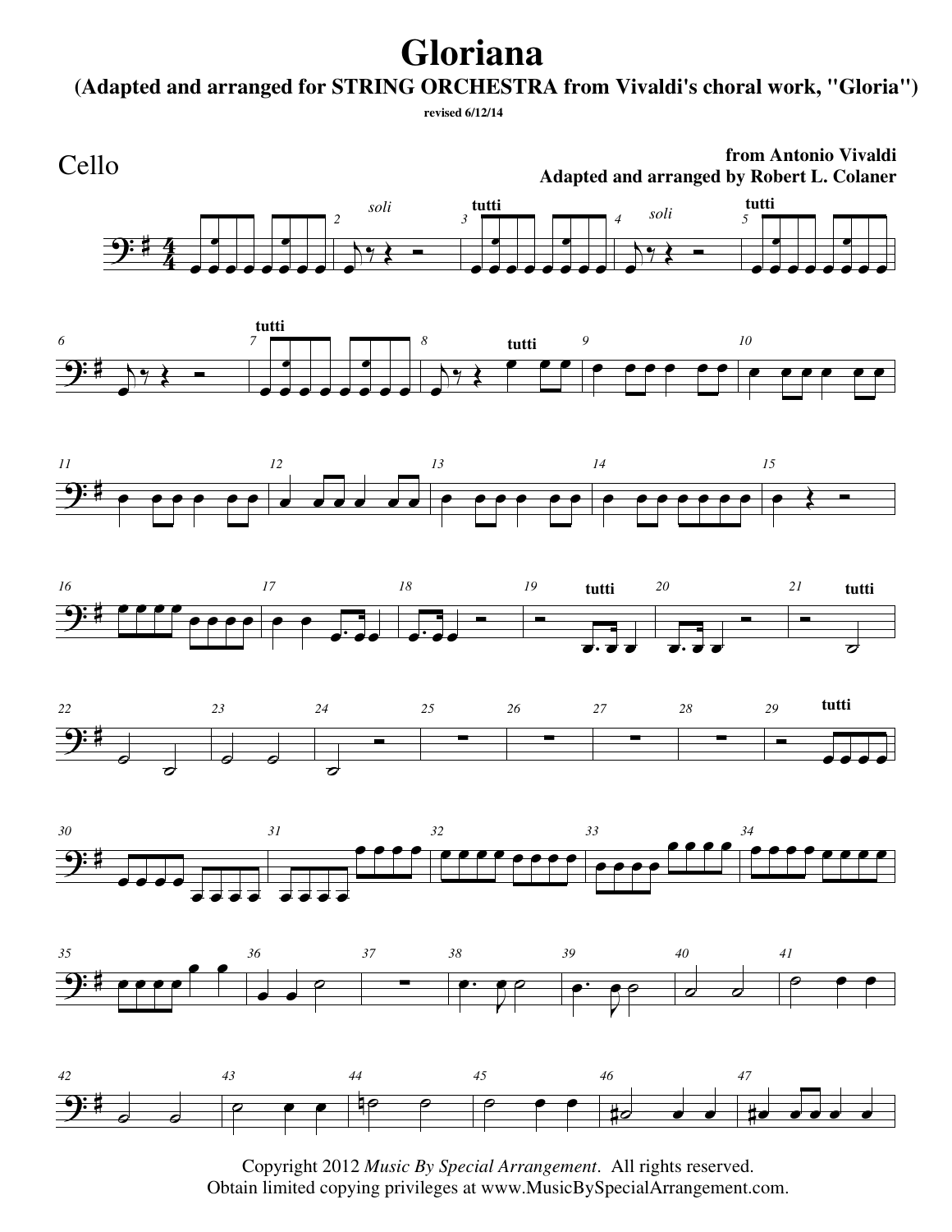## **Gloriana**

**(Adapted and arranged for STRING ORCHESTRA from Vivaldi's choral work, "Gloria")**

```
 revised 6/12/14
```


**from Antonio Vivaldi Adapted and arranged by Robert L. Colaner**

















Copyright 2012 *Music By Special Arrangement*. All rights reserved. Obtain limited copying privileges at www.MusicBySpecialArrangement.com.